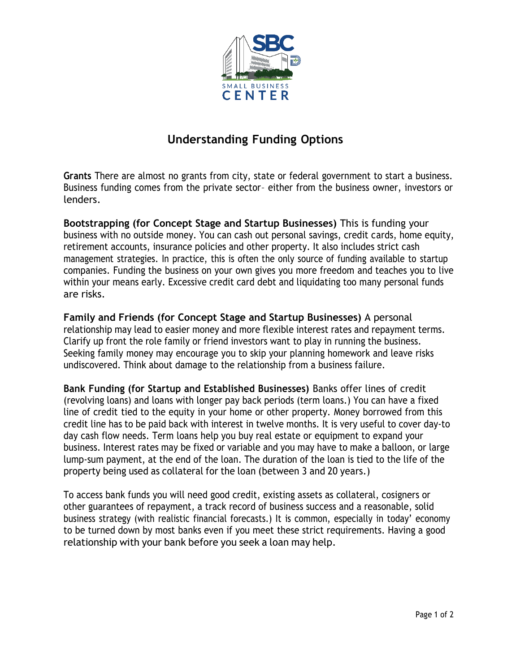

## **Understanding Funding Options**

**Grants** There are almost no grants from city, state or federal government to start a business. Business funding comes from the private sector– either from the business owner, investors or lenders.

**Bootstrapping (for Concept Stage and Startup Businesses)** This is funding your business with no outside money. You can cash out personal savings, credit cards, home equity, retirement accounts, insurance policies and other property. It also includes strict cash management strategies. In practice, this is often the only source of funding available to startup companies. Funding the business on your own gives you more freedom and teaches you to live within your means early. Excessive credit card debt and liquidating too many personal funds are risks.

**Family and Friends (for Concept Stage and Startup Businesses)** A personal relationship may lead to easier money and more flexible interest rates and repayment terms. Clarify up front the role family or friend investors want to play in running the business. Seeking family money may encourage you to skip your planning homework and leave risks undiscovered. Think about damage to the relationship from a business failure.

**Bank Funding (for Startup and Established Businesses)** Banks offer lines of credit (revolving loans) and loans with longer pay back periods (term loans.) You can have a fixed line of credit tied to the equity in your home or other property. Money borrowed from this credit line has to be paid back with interest in twelve months. It is very useful to cover day-to day cash flow needs. Term loans help you buy real estate or equipment to expand your business. Interest rates may be fixed or variable and you may have to make a balloon, or large lump-sum payment, at the end of the loan. The duration of the loan is tied to the life of the property being used as collateral for the loan (between 3 and 20 years.)

To access bank funds you will need good credit, existing assets as collateral, cosigners or other guarantees of repayment, a track record of business success and a reasonable, solid business strategy (with realistic financial forecasts.) It is common, especially in today' economy to be turned down by most banks even if you meet these strict requirements. Having a good relationship with your bank before you seek a loan may help.